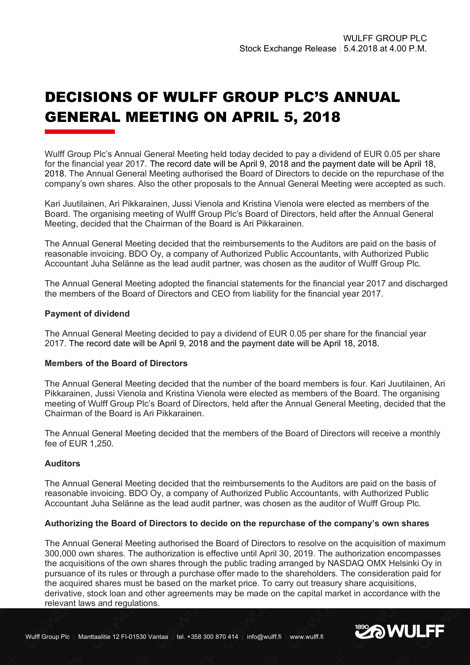# DECISIONS OF WULFF GROUP PLC'S ANNUAL GENERAL MEETING ON APRIL 5, 2018

Wulff Group Plc's Annual General Meeting held today decided to pay a dividend of EUR 0.05 per share for the financial year 2017. The record date will be April 9, 2018 and the payment date will be April 18, 2018. The Annual General Meeting authorised the Board of Directors to decide on the repurchase of the company's own shares. Also the other proposals to the Annual General Meeting were accepted as such.

Kari Juutilainen, Ari Pikkarainen, Jussi Vienola and Kristina Vienola were elected as members of the Board. The organising meeting of Wulff Group Plc's Board of Directors, held after the Annual General Meeting, decided that the Chairman of the Board is Ari Pikkarainen.

The Annual General Meeting decided that the reimbursements to the Auditors are paid on the basis of reasonable invoicing. BDO Oy, a company of Authorized Public Accountants, with Authorized Public Accountant Juha Selänne as the lead audit partner, was chosen as the auditor of Wulff Group Plc.

The Annual General Meeting adopted the financial statements for the financial year 2017 and discharged the members of the Board of Directors and CEO from liability for the financial year 2017.

## **Payment of dividend**

The Annual General Meeting decided to pay a dividend of EUR 0.05 per share for the financial year 2017. The record date will be April 9, 2018 and the payment date will be April 18, 2018.

### **Members of the Board of Directors**

The Annual General Meeting decided that the number of the board members is four. Kari Juutilainen, Ari Pikkarainen, Jussi Vienola and Kristina Vienola were elected as members of the Board. The organising meeting of Wulff Group Plc's Board of Directors, held after the Annual General Meeting, decided that the Chairman of the Board is Ari Pikkarainen.

The Annual General Meeting decided that the members of the Board of Directors will receive a monthly fee of EUR 1,250.

# **Auditors**

The Annual General Meeting decided that the reimbursements to the Auditors are paid on the basis of reasonable invoicing. BDO Oy, a company of Authorized Public Accountants, with Authorized Public Accountant Juha Selänne as the lead audit partner, was chosen as the auditor of Wulff Group Plc.

### **Authorizing the Board of Directors to decide on the repurchase of the company's own shares**

The Annual General Meeting authorised the Board of Directors to resolve on the acquisition of maximum 300,000 own shares. The authorization is effective until April 30, 2019. The authorization encompasses the acquisitions of the own shares through the public trading arranged by NASDAQ OMX Helsinki Oy in pursuance of its rules or through a purchase offer made to the shareholders. The consideration paid for the acquired shares must be based on the market price. To carry out treasury share acquisitions, derivative, stock loan and other agreements may be made on the capital market in accordance with the relevant laws and regulations.

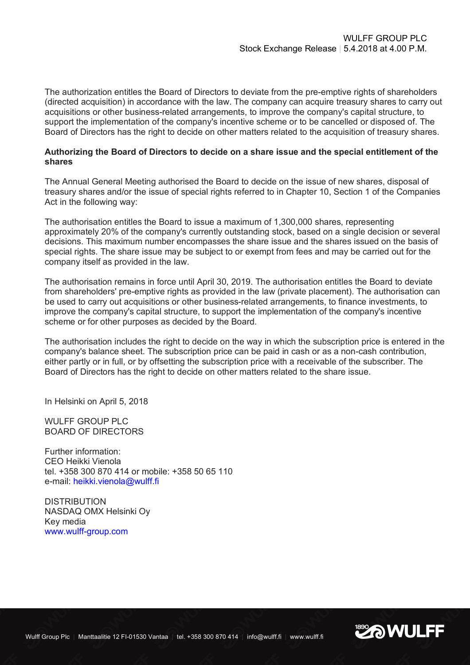The authorization entitles the Board of Directors to deviate from the pre-emptive rights of shareholders (directed acquisition) in accordance with the law. The company can acquire treasury shares to carry out acquisitions or other business-related arrangements, to improve the company's capital structure, to support the implementation of the company's incentive scheme or to be cancelled or disposed of. The Board of Directors has the right to decide on other matters related to the acquisition of treasury shares.

## **Authorizing the Board of Directors to decide on a share issue and the special entitlement of the shares**

The Annual General Meeting authorised the Board to decide on the issue of new shares, disposal of treasury shares and/or the issue of special rights referred to in Chapter 10, Section 1 of the Companies Act in the following way:

The authorisation entitles the Board to issue a maximum of 1,300,000 shares, representing approximately 20% of the company's currently outstanding stock, based on a single decision or several decisions. This maximum number encompasses the share issue and the shares issued on the basis of special rights. The share issue may be subject to or exempt from fees and may be carried out for the company itself as provided in the law.

The authorisation remains in force until April 30, 2019. The authorisation entitles the Board to deviate from shareholders' pre-emptive rights as provided in the law (private placement). The authorisation can be used to carry out acquisitions or other business-related arrangements, to finance investments, to improve the company's capital structure, to support the implementation of the company's incentive scheme or for other purposes as decided by the Board.

The authorisation includes the right to decide on the way in which the subscription price is entered in the company's balance sheet. The subscription price can be paid in cash or as a non-cash contribution, either partly or in full, or by offsetting the subscription price with a receivable of the subscriber. The Board of Directors has the right to decide on other matters related to the share issue.

In Helsinki on April 5, 2018

WULFF GROUP PLC BOARD OF DIRECTORS

Further information: CEO Heikki Vienola tel. +358 300 870 414 or mobile: +358 50 65 110 e-mail: heikki.vienola@wulff.fi

**DISTRIBUTION** NASDAQ OMX Helsinki Oy Key media www.wulff-group.com